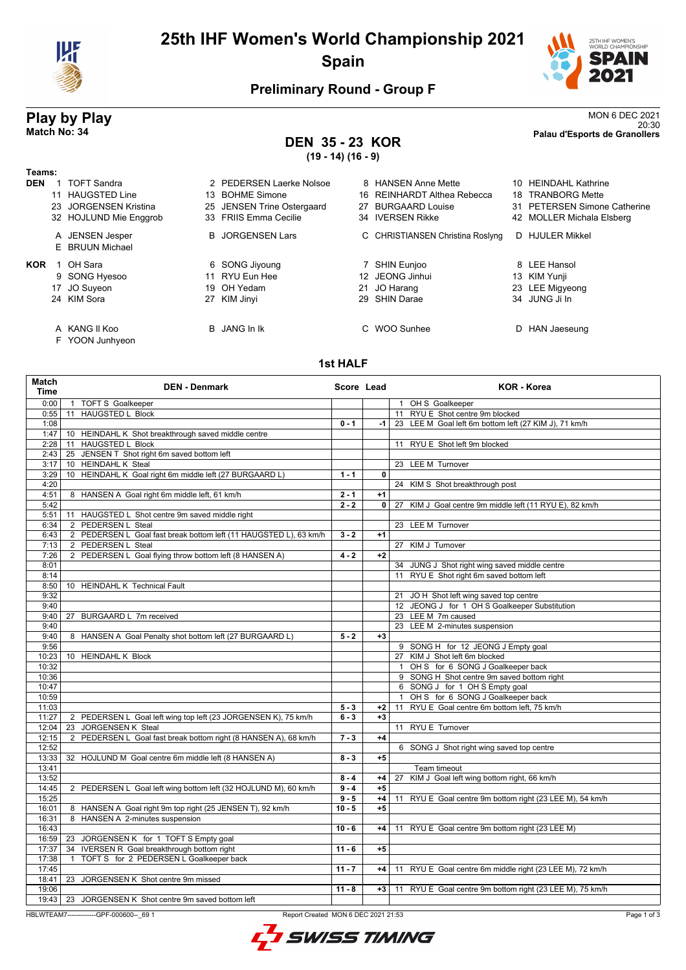

# **25th IHF Women's World Championship 2021 Spain**



## **Preliminary Round - Group F**

### **DEN 35 - 23 KOR (19 - 14) (16 - 9)**

**Play by Play**<br>MON 6 DEC 2021<br>Palau d'Esports de Granollers<br>Palau d'Esports de Granollers 20:30 **Match No: 34 Palau d'Esports de Granollers**

| Teams:     |                                    |                            |    |                                  |    |                              |
|------------|------------------------------------|----------------------------|----|----------------------------------|----|------------------------------|
| <b>DEN</b> | <b>TOFT Sandra</b>                 | 2 PEDERSEN Laerke Nolsoe   |    | 8 HANSEN Anne Mette              | 10 | <b>HEINDAHL Kathrine</b>     |
|            | <b>HAUGSTED Line</b>               | 13 BOHME Simone            |    | 16 REINHARDT Althea Rebecca      | 18 | <b>TRANBORG Mette</b>        |
|            | <b>JORGENSEN Kristina</b><br>23    | 25 JENSEN Trine Ostergaard | 27 | <b>BURGAARD Louise</b>           |    | 31 PETERSEN Simone Catherine |
|            | 32 HOJLUND Mie Enggrob             | 33 FRIIS Emma Cecilie      |    | 34 IVERSEN Rikke                 |    | 42 MOLLER Michala Elsberg    |
|            | A JENSEN Jesper<br>E BRUUN Michael | <b>B</b> JORGENSEN Lars    |    | C CHRISTIANSEN Christina Roslyng | D. | <b>HJULER Mikkel</b>         |
| <b>KOR</b> | OH Sara                            | 6 SONG Jiyoung             |    | SHIN Eunjoo                      |    | 8 LEE Hansol                 |
|            | 9 SONG Hyesoo                      | 11 RYU Eun Hee             |    | 12 JEONG Jinhui                  |    | 13 KIM Yunji                 |
|            | 17 JO Suyeon                       | 19 OH Yedam                |    | 21 JO Harang                     |    | 23 LEE Migyeong              |
|            | 24 KIM Sora                        | 27 KIM Jinyi               |    | 29 SHIN Darae                    |    | 34 JUNG Ji In                |
|            | A KANG II Koo                      | B JANG In Ik               |    | C WOO Sunhee                     | D  | HAN Jaeseung                 |

F YOON Junhyeon

#### **1st HALF**

| Match<br><b>Time</b> | <b>DEN - Denmark</b>                                              | Score Lead |      | <b>KOR - Korea</b>                                        |
|----------------------|-------------------------------------------------------------------|------------|------|-----------------------------------------------------------|
| 0:00                 | 1 TOFT S Goalkeeper                                               |            |      | 1 OH S Goalkeeper                                         |
| 0:55                 | 11 HAUGSTED L Block                                               |            |      | 11 RYU E Shot centre 9m blocked                           |
| 1:08                 |                                                                   | $0 - 1$    | $-1$ | 23 LEE M Goal left 6m bottom left (27 KIM J), 71 km/h     |
| 1:47                 | 10 HEINDAHL K Shot breakthrough saved middle centre               |            |      |                                                           |
| 2:28                 | 11 HAUGSTED L Block                                               |            |      | 11 RYU E Shot left 9m blocked                             |
| 2:43                 | 25 JENSEN T Shot right 6m saved bottom left                       |            |      |                                                           |
| 3:17                 | 10 HEINDAHL K Steal                                               |            |      | 23 LEE M Turnover                                         |
| 3:29                 | 10 HEINDAHL K Goal right 6m middle left (27 BURGAARD L)           | $1 - 1$    | 0    |                                                           |
| 4:20                 |                                                                   |            |      | 24 KIM S Shot breakthrough post                           |
| 4:51                 | 8 HANSEN A Goal right 6m middle left, 61 km/h                     | $2 - 1$    | $+1$ |                                                           |
| 5:42                 |                                                                   | $2 - 2$    |      | 0 27 KIM J Goal centre 9m middle left (11 RYU E), 82 km/h |
| 5:51                 | 11 HAUGSTED L Shot centre 9m saved middle right                   |            |      |                                                           |
| 6:34                 | 2 PEDERSEN L Steal                                                |            |      | 23 LEE M Turnover                                         |
| 6:43                 | 2 PEDERSEN L Goal fast break bottom left (11 HAUGSTED L), 63 km/h | $3 - 2$    | $+1$ |                                                           |
| 7:13                 | 2 PEDERSEN L Steal                                                |            |      | 27 KIM J Turnover                                         |
| 7:26                 | 2 PEDERSEN L Goal flying throw bottom left (8 HANSEN A)           | $4 - 2$    | $+2$ |                                                           |
| 8:01                 |                                                                   |            |      | 34 JUNG J Shot right wing saved middle centre             |
| 8:14                 |                                                                   |            |      | 11 RYU E Shot right 6m saved bottom left                  |
| 8:50                 | 10 HEINDAHL K Technical Fault                                     |            |      |                                                           |
| 9:32                 |                                                                   |            |      | 21 JOH Shot left wing saved top centre                    |
| 9:40                 |                                                                   |            |      | 12 JEONG J for 1 OH S Goalkeeper Substitution             |
| 9:40                 | BURGAARD L 7m received<br>27                                      |            |      | 23 LEE M 7m caused                                        |
| 9:40                 |                                                                   |            |      | 23 LEE M 2-minutes suspension                             |
| 9:40                 | 8 HANSEN A Goal Penalty shot bottom left (27 BURGAARD L)          | $5 - 2$    | $+3$ |                                                           |
| 9:56                 |                                                                   |            |      | 9 SONG H for 12 JEONG J Empty goal                        |
| 10:23                | 10 HEINDAHL K Block                                               |            |      | 27 KIM J Shot left 6m blocked                             |
| 10:32                |                                                                   |            |      | 1 OH S for 6 SONG J Goalkeeper back                       |
| 10:36                |                                                                   |            |      | 9 SONG H Shot centre 9m saved bottom right                |
| 10:47                |                                                                   |            |      | 6 SONG J for 1 OH S Empty goal                            |
| 10:59                |                                                                   |            |      | OH S for 6 SONG J Goalkeeper back<br>$\mathbf{1}$         |
| 11:03                |                                                                   | $5 - 3$    | $+2$ | 11 RYU E Goal centre 6m bottom left, 75 km/h              |
| 11:27                | 2 PEDERSEN L Goal left wing top left (23 JORGENSEN K), 75 km/h    | $6 - 3$    | $+3$ |                                                           |
| 12:04                | JORGENSEN K Steal<br>23                                           |            |      | 11 RYU E Turnover                                         |
| 12:15                | 2 PEDERSEN L Goal fast break bottom right (8 HANSEN A), 68 km/h   | $7 - 3$    | $+4$ |                                                           |
| 12:52                |                                                                   |            |      | 6 SONG J Shot right wing saved top centre                 |
| 13:33                | 32 HOJLUND M Goal centre 6m middle left (8 HANSEN A)              | $8 - 3$    | $+5$ |                                                           |
| 13:41                |                                                                   |            |      | Team timeout                                              |
| 13:52                |                                                                   | $8 - 4$    | $+4$ | 27 KIM J Goal left wing bottom right, 66 km/h             |
| 14:45                | 2 PEDERSEN L Goal left wing bottom left (32 HOJLUND M), 60 km/h   | $9 - 4$    | $+5$ |                                                           |
| 15:25                |                                                                   | $9 - 5$    | $+4$ | 11 RYU E Goal centre 9m bottom right (23 LEE M), 54 km/h  |
| 16:01                | 8 HANSEN A Goal right 9m top right (25 JENSEN T), 92 km/h         | $10 - 5$   | $+5$ |                                                           |
| 16:31                | 8 HANSEN A 2-minutes suspension                                   |            |      |                                                           |
| 16:43                |                                                                   | $10 - 6$   | $+4$ | 11 RYU E Goal centre 9m bottom right (23 LEE M)           |
| 16:59                | 23 JORGENSEN K for 1 TOFT S Empty goal                            |            |      |                                                           |
| 17:37                | 34 IVERSEN R Goal breakthrough bottom right                       | $11 - 6$   | $+5$ |                                                           |
| 17:38                | TOFT S for 2 PEDERSEN L Goalkeeper back<br>$\mathbf{1}$           |            |      |                                                           |
| 17:45                |                                                                   | $11 - 7$   | $+4$ | 11 RYU E Goal centre 6m middle right (23 LEE M), 72 km/h  |
| 18:41                | JORGENSEN K Shot centre 9m missed<br>23                           |            |      |                                                           |
| 19:06                |                                                                   | $11 - 8$   | $+3$ | 11 RYU E Goal centre 9m bottom right (23 LEE M), 75 km/h  |
| 19:43                | 23<br>JORGENSEN K Shot centre 9m saved bottom left                |            |      |                                                           |

HBLWTEAM7-------------GPF-000600--\_69 1 Report Created MON 6 DEC 2021 21:53

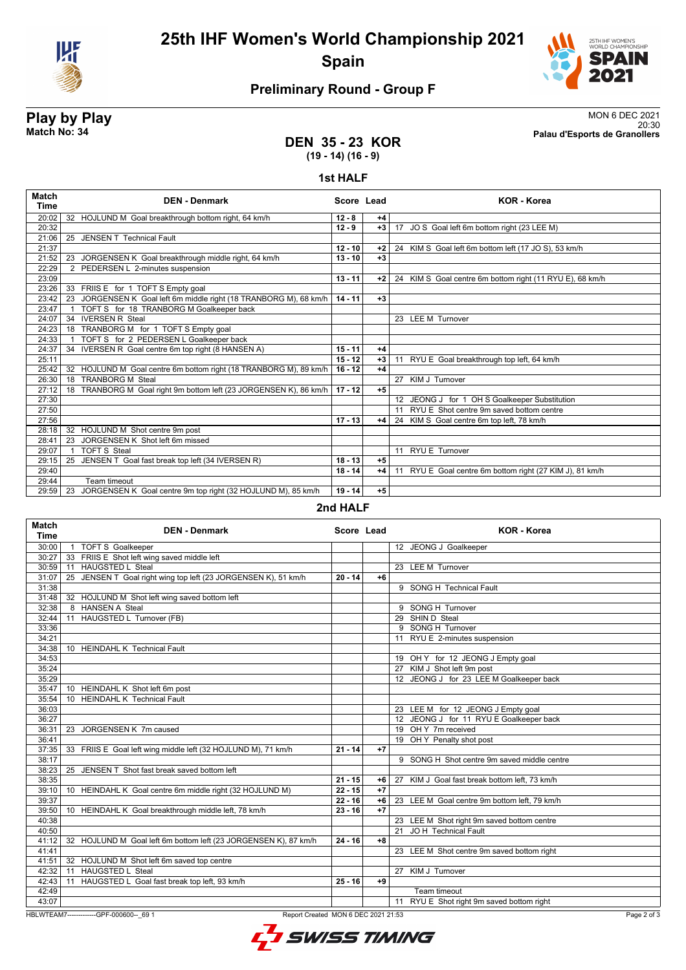



# **Preliminary Round - Group F**

**Play by Play**<br>MON 6 DEC 2021<br>Palau d'Esports de Granollers<br>Palau d'Esports de Granollers 20:30 **Match No: 34 Palau d'Esports de Granollers**

### **DEN 35 - 23 KOR (19 - 14) (16 - 9)**

#### **1st HALF**

| <b>Match</b><br><b>Time</b> | <b>DEN - Denmark</b>                                                 | Score Lead |      | <b>KOR - Korea</b>                                       |
|-----------------------------|----------------------------------------------------------------------|------------|------|----------------------------------------------------------|
| 20:02                       | 32 HOJLUND M Goal breakthrough bottom right, 64 km/h                 | $12 - 8$   | $+4$ |                                                          |
| 20:32                       |                                                                      | $12 - 9$   | $+3$ | 17 JO S Goal left 6m bottom right (23 LEE M)             |
| 21:06                       | 25 JENSEN T Technical Fault                                          |            |      |                                                          |
| 21:37                       |                                                                      | $12 - 10$  | $+2$ | 24 KIM S Goal left 6m bottom left (17 JO S), 53 km/h     |
| 21:52                       | 23 JORGENSEN K Goal breakthrough middle right, 64 km/h               | $13 - 10$  | $+3$ |                                                          |
| 22:29                       | 2 PEDERSEN L 2-minutes suspension                                    |            |      |                                                          |
| 23:09                       |                                                                      | $13 - 11$  | $+2$ | 24 KIM S Goal centre 6m bottom right (11 RYU E), 68 km/h |
| 23:26                       | 33 FRIIS E for 1 TOFT S Empty goal                                   |            |      |                                                          |
| 23:42                       | JORGENSEN K Goal left 6m middle right (18 TRANBORG M), 68 km/h<br>23 | $14 - 11$  | $+3$ |                                                          |
| 23:47                       | TOFT S for 18 TRANBORG M Goalkeeper back                             |            |      |                                                          |
| 24:07                       | <b>IVERSEN R Steal</b><br>34                                         |            |      | 23 LEE M Turnover                                        |
| 24:23                       | TRANBORG M for 1 TOFT S Empty goal<br>18                             |            |      |                                                          |
| 24:33                       | TOFT S for 2 PEDERSEN L Goalkeeper back                              |            |      |                                                          |
| 24:37                       | 34 IVERSEN R Goal centre 6m top right (8 HANSEN A)                   | $15 - 11$  | $+4$ |                                                          |
| 25:11                       |                                                                      | $15 - 12$  | $+3$ | 11 RYU E Goal breakthrough top left, 64 km/h             |
| 25:42                       | HOJLUND M Goal centre 6m bottom right (18 TRANBORG M), 89 km/h<br>32 | $16 - 12$  | $+4$ |                                                          |
| 26:30                       | <b>TRANBORG M Steal</b><br>18                                        |            |      | 27 KIM J Turnover                                        |
| 27:12                       | TRANBORG M Goal right 9m bottom left (23 JORGENSEN K), 86 km/h<br>18 | $17 - 12$  | $+5$ |                                                          |
| 27:30                       |                                                                      |            |      | 12 JEONG J for 1 OH S Goalkeeper Substitution            |
| 27:50                       |                                                                      |            |      | 11 RYU E Shot centre 9m saved bottom centre              |
| 27:56                       |                                                                      | $17 - 13$  | $+4$ | 24 KIM S Goal centre 6m top left, 78 km/h                |
| 28:18                       | 32 HOJLUND M Shot centre 9m post                                     |            |      |                                                          |
| 28:41                       | JORGENSEN K Shot left 6m missed<br>23                                |            |      |                                                          |
| 29:07                       | <b>TOFT S Steal</b>                                                  |            |      | 11 RYU E Turnover                                        |
| 29:15                       | JENSEN T Goal fast break top left (34 IVERSEN R)<br>25               | $18 - 13$  | $+5$ |                                                          |
| 29:40                       |                                                                      | $18 - 14$  | $+4$ | 11 RYU E Goal centre 6m bottom right (27 KIM J), 81 km/h |
| 29:44                       | Team timeout                                                         |            |      |                                                          |
| 29:59                       | JORGENSEN K Goal centre 9m top right (32 HOJLUND M), 85 km/h<br>23   | $19 - 14$  | $+5$ |                                                          |

#### **2nd HALF**

| <b>Match</b><br><b>Time</b>                                                                  | <b>DEN - Denmark</b>                                            | Score Lead |      | <b>KOR</b> - Korea                            |  |
|----------------------------------------------------------------------------------------------|-----------------------------------------------------------------|------------|------|-----------------------------------------------|--|
| 30:00                                                                                        | <b>TOFT S Goalkeeper</b><br>$\overline{1}$                      |            |      | 12 JEONG J Goalkeeper                         |  |
| 30:27                                                                                        | 33 FRIIS E Shot left wing saved middle left                     |            |      |                                               |  |
|                                                                                              | 30:59 11 HAUGSTED L Steal                                       |            |      | 23 LEE M Turnover                             |  |
| 31:07                                                                                        | 25 JENSEN T Goal right wing top left (23 JORGENSEN K), 51 km/h  | $20 - 14$  | $+6$ |                                               |  |
| 31:38                                                                                        |                                                                 |            |      | 9 SONG H Technical Fault                      |  |
| 31:48                                                                                        | 32 HOJLUND M Shot left wing saved bottom left                   |            |      |                                               |  |
| 32:38                                                                                        | 8 HANSEN A Steal                                                |            |      | 9 SONG H Turnover                             |  |
| 32:44                                                                                        | 11 HAUGSTED L Turnover (FB)                                     |            |      | 29 SHIN D Steal                               |  |
| 33:36                                                                                        |                                                                 |            |      | 9 SONG H Turnover                             |  |
| 34:21                                                                                        |                                                                 |            |      | 11 RYU E 2-minutes suspension                 |  |
| 34:38                                                                                        | 10 HEINDAHL K Technical Fault                                   |            |      |                                               |  |
| 34:53                                                                                        |                                                                 |            |      | 19 OH Y for 12 JEONG J Empty goal             |  |
| 35:24                                                                                        |                                                                 |            |      | 27 KIM J Shot left 9m post                    |  |
| 35:29                                                                                        |                                                                 |            |      | 12 JEONG J for 23 LEE M Goalkeeper back       |  |
| 35:47                                                                                        | 10 HEINDAHL K Shot left 6m post                                 |            |      |                                               |  |
| 35:54                                                                                        | 10 HEINDAHL K Technical Fault                                   |            |      |                                               |  |
| 36:03                                                                                        |                                                                 |            |      | 23 LEE M for 12 JEONG J Empty goal            |  |
| 36:27                                                                                        |                                                                 |            |      | 12 JEONG J for 11 RYU E Goalkeeper back       |  |
| 36:31                                                                                        | JORGENSEN K 7m caused<br>23                                     |            |      | 19 OH Y 7m received                           |  |
| 36:41                                                                                        |                                                                 |            |      | 19 OH Y Penalty shot post                     |  |
| 37:35                                                                                        | 33 FRIIS E Goal left wing middle left (32 HOJLUND M), 71 km/h   | $21 - 14$  | $+7$ |                                               |  |
| 38:17                                                                                        |                                                                 |            |      | 9 SONG H Shot centre 9m saved middle centre   |  |
| 38:23                                                                                        | JENSEN T Shot fast break saved bottom left<br>25                |            |      |                                               |  |
| 38:35                                                                                        |                                                                 | $21 - 15$  | +6   | 27 KIM J Goal fast break bottom left, 73 km/h |  |
| 39:10                                                                                        | 10 HEINDAHL K Goal centre 6m middle right (32 HOJLUND M)        | $22 - 15$  | $+7$ |                                               |  |
| 39:37                                                                                        |                                                                 | $22 - 16$  | $+6$ | 23 LEE M Goal centre 9m bottom left, 79 km/h  |  |
| 39:50                                                                                        | 10 HEINDAHL K Goal breakthrough middle left, 78 km/h            | $23 - 16$  | $+7$ |                                               |  |
| 40:38                                                                                        |                                                                 |            |      | 23 LEE M Shot right 9m saved bottom centre    |  |
| 40:50                                                                                        |                                                                 |            |      | JO H Technical Fault<br>21                    |  |
| 41:12                                                                                        | 32 HOJLUND M Goal left 6m bottom left (23 JORGENSEN K), 87 km/h | $24 - 16$  | $+8$ |                                               |  |
| 41:41                                                                                        |                                                                 |            |      | 23 LEE M Shot centre 9m saved bottom right    |  |
| 41:51                                                                                        | 32 HOJLUND M Shot left 6m saved top centre                      |            |      |                                               |  |
| 42:32                                                                                        | <b>HAUGSTED L Steal</b><br>11                                   |            |      | KIM J Turnover<br>27                          |  |
| 42:43                                                                                        | 11 HAUGSTED L Goal fast break top left, 93 km/h                 | $25 - 16$  | $+9$ |                                               |  |
| 42:49                                                                                        |                                                                 |            |      | Team timeout                                  |  |
| 43:07                                                                                        |                                                                 |            |      | RYU E Shot right 9m saved bottom right<br>11  |  |
| HBLWTEAM7--------------GPF-000600-- 69 1<br>Report Created MON 6 DEC 2021 21:53<br>Page 2 of |                                                                 |            |      |                                               |  |